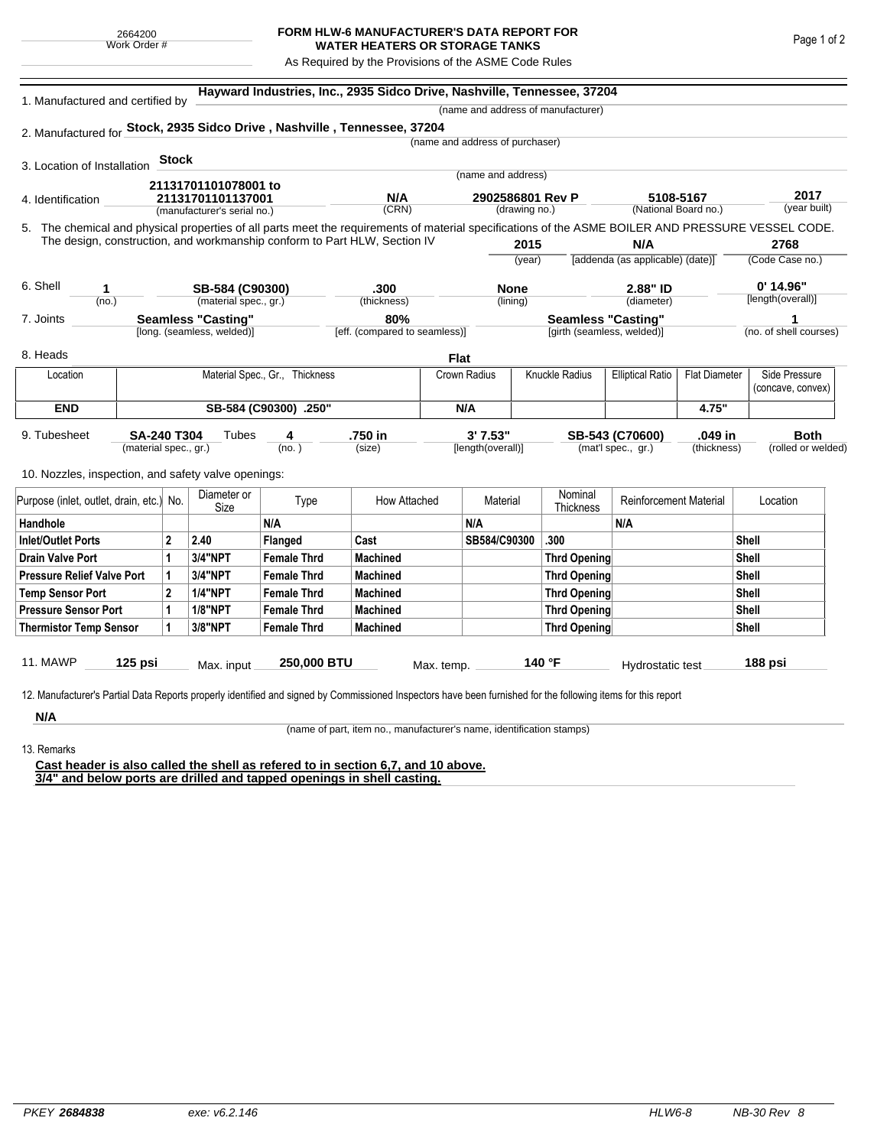## **FORM HLW-6 MANUFACTURER'S DATA REPORT FOR WATER HEATERS OR STORAGE TANKS**

As Required by the Provisions of the ASME Code Rules

| 1. Manufactured and certified by                    |                       |                                                                           |                                                         |                                                                                                                                                    |                                      |              |                                 |                             | (name and address of manufacturer)                      |                                  |                      |              |                                  |  |
|-----------------------------------------------------|-----------------------|---------------------------------------------------------------------------|---------------------------------------------------------|----------------------------------------------------------------------------------------------------------------------------------------------------|--------------------------------------|--------------|---------------------------------|-----------------------------|---------------------------------------------------------|----------------------------------|----------------------|--------------|----------------------------------|--|
|                                                     |                       |                                                                           |                                                         | 2. Manufactured for Stock, 2935 Sidco Drive, Nashville, Tennessee, 37204                                                                           |                                      |              |                                 |                             |                                                         |                                  |                      |              |                                  |  |
|                                                     |                       |                                                                           |                                                         |                                                                                                                                                    |                                      |              | (name and address of purchaser) |                             |                                                         |                                  |                      |              |                                  |  |
|                                                     |                       | <b>Stock</b>                                                              |                                                         |                                                                                                                                                    |                                      |              |                                 |                             |                                                         |                                  |                      |              |                                  |  |
| 3. Location of Installation                         |                       |                                                                           |                                                         |                                                                                                                                                    |                                      |              | (name and address)              |                             |                                                         |                                  |                      |              |                                  |  |
|                                                     |                       |                                                                           | 21131701101078001 to                                    |                                                                                                                                                    | N/A                                  |              | 2902586801 Rev P                |                             |                                                         | 5108-5167                        |                      | 2017         |                                  |  |
| 4. Identification                                   |                       | 21131701101137001<br>(manufacturer's serial no.)                          |                                                         |                                                                                                                                                    | (CRN)                                |              | (drawing no.)                   |                             | (National Board no.)                                    |                                  | (year built)         |              |                                  |  |
|                                                     |                       |                                                                           |                                                         | 5. The chemical and physical properties of all parts meet the requirements of material specifications of the ASME BOILER AND PRESSURE VESSEL CODE. |                                      |              |                                 |                             |                                                         |                                  |                      |              |                                  |  |
|                                                     |                       | The design, construction, and workmanship conform to Part HLW, Section IV |                                                         |                                                                                                                                                    |                                      |              | 2015                            |                             | N/A                                                     |                                  | 2768                 |              |                                  |  |
|                                                     |                       |                                                                           |                                                         |                                                                                                                                                    |                                      |              |                                 | (year)                      |                                                         | [addenda (as applicable) (date)] |                      |              | (Code Case no.)                  |  |
|                                                     |                       |                                                                           |                                                         |                                                                                                                                                    |                                      |              |                                 |                             |                                                         |                                  |                      |              |                                  |  |
| 6. Shell<br>1                                       |                       |                                                                           | SB-584 (C90300)                                         |                                                                                                                                                    | .300                                 |              | <b>None</b>                     |                             |                                                         | 2.88" ID<br>(diameter)           |                      |              | $0'$ 14.96"<br>[length(overall)] |  |
| (no.)                                               |                       |                                                                           | (material spec., gr.)                                   |                                                                                                                                                    | (thickness)                          |              | (lining)                        |                             |                                                         |                                  |                      |              |                                  |  |
| 7. Joints                                           |                       |                                                                           | <b>Seamless "Casting"</b><br>[long. (seamless, welded)] |                                                                                                                                                    | 80%<br>[eff. (compared to seamless)] |              |                                 |                             | <b>Seamless "Casting"</b><br>[girth (seamless, welded)] |                                  |                      |              | 1<br>(no. of shell courses)      |  |
|                                                     |                       |                                                                           |                                                         |                                                                                                                                                    |                                      |              |                                 |                             |                                                         |                                  |                      |              |                                  |  |
| 8. Heads                                            |                       |                                                                           |                                                         |                                                                                                                                                    |                                      | Flat         |                                 |                             |                                                         |                                  |                      |              |                                  |  |
| Location                                            |                       |                                                                           |                                                         | Material Spec., Gr., Thickness                                                                                                                     |                                      | Crown Radius |                                 |                             | Knuckle Radius                                          | <b>Elliptical Ratio</b>          | <b>Flat Diameter</b> |              | Side Pressure                    |  |
|                                                     |                       |                                                                           |                                                         |                                                                                                                                                    |                                      |              |                                 |                             |                                                         |                                  |                      |              | (concave, convex)                |  |
| <b>END</b>                                          |                       |                                                                           |                                                         | SB-584 (C90300) .250"                                                                                                                              | N/A                                  |              |                                 |                             |                                                         | 4.75"                            |                      |              |                                  |  |
| 9. Tubesheet                                        | <b>SA-240 T304</b>    |                                                                           | Tubes                                                   | 4                                                                                                                                                  | .750 in                              |              | 3'7.53"                         |                             |                                                         | SB-543 (C70600)                  | .049 in              |              | <b>Both</b>                      |  |
|                                                     | (material spec., gr.) |                                                                           |                                                         | (no. )                                                                                                                                             | (size)                               |              | [length(overall)]               |                             |                                                         | (mat'l spec., gr.)               | (thickness)          |              | (rolled or welded)               |  |
|                                                     |                       |                                                                           |                                                         |                                                                                                                                                    |                                      |              |                                 |                             |                                                         |                                  |                      |              |                                  |  |
| 10. Nozzles, inspection, and safety valve openings: |                       |                                                                           |                                                         |                                                                                                                                                    |                                      |              |                                 |                             |                                                         |                                  |                      |              |                                  |  |
| Purpose (inlet, outlet, drain, etc.) No.            |                       | Diameter or<br>Size                                                       | Type                                                    | How Attached                                                                                                                                       |                                      | Material     |                                 | Nominal<br><b>Thickness</b> | <b>Reinforcement Material</b>                           |                                  | Location             |              |                                  |  |
| Handhole                                            |                       |                                                                           |                                                         | N/A                                                                                                                                                |                                      |              | N/A                             |                             |                                                         | N/A                              |                      |              |                                  |  |
| <b>Inlet/Outlet Ports</b>                           |                       | $\mathbf{2}$                                                              | 2.40                                                    | Flanged                                                                                                                                            | Cast                                 |              | SB584/C90300                    |                             | .300                                                    |                                  |                      | Shell        |                                  |  |
| <b>Drain Valve Port</b>                             |                       | 1                                                                         | 3/4"NPT                                                 | <b>Female Thrd</b>                                                                                                                                 | <b>Machined</b>                      |              |                                 |                             | <b>Thrd Opening</b>                                     |                                  |                      | <b>Shell</b> |                                  |  |
| <b>Pressure Relief Valve Port</b>                   |                       | 1                                                                         | <b>3/4"NPT</b>                                          | <b>Female Thrd</b>                                                                                                                                 | <b>Machined</b>                      |              |                                 |                             | <b>Thrd Opening</b>                                     |                                  |                      | <b>Shell</b> |                                  |  |
| <b>Temp Sensor Port</b>                             |                       | $\mathbf{2}$                                                              | <b>1/4"NPT</b>                                          | <b>Female Thrd</b>                                                                                                                                 | <b>Machined</b>                      |              |                                 |                             | <b>Thrd Opening</b>                                     |                                  | Shell                |              |                                  |  |
| <b>Pressure Sensor Port</b>                         |                       | 1                                                                         | <b>1/8"NPT</b>                                          | <b>Female Thrd</b>                                                                                                                                 | <b>Machined</b>                      |              |                                 |                             | <b>Thrd Opening</b>                                     |                                  |                      | Shell        |                                  |  |
| <b>Thermistor Temp Sensor</b>                       |                       | 1                                                                         | 3/8"NPT                                                 | <b>Female Thrd</b>                                                                                                                                 | <b>Machined</b>                      |              |                                 |                             | <b>Thrd Opening</b>                                     |                                  |                      | <b>Shell</b> |                                  |  |
|                                                     |                       |                                                                           |                                                         |                                                                                                                                                    |                                      |              |                                 |                             |                                                         |                                  |                      |              |                                  |  |
| 11. MAWP                                            | 125 psi               |                                                                           | Max. input                                              | 250,000 BTU                                                                                                                                        |                                      | Max. temp.   |                                 |                             | 140 °F                                                  | Hydrostatic test                 |                      | 188 psi      |                                  |  |

**N/A**

(name of part, item no., manufacturer's name, identification stamps)

13. Remarks

**Cast header is also called the shell as refered to in section 6,7, and 10 above. 3/4" and below ports are drilled and tapped openings in shell casting.**